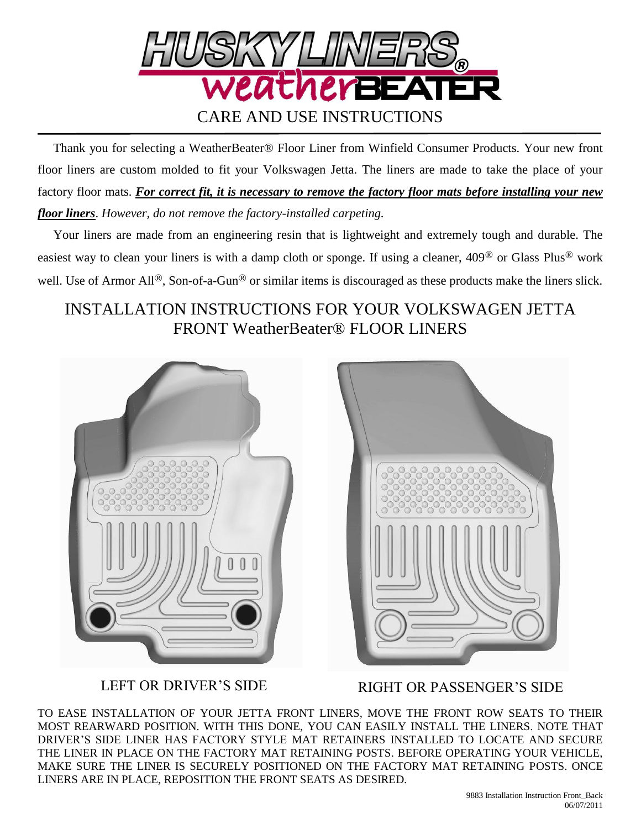

 Thank you for selecting a WeatherBeater® Floor Liner from Winfield Consumer Products. Your new front floor liners are custom molded to fit your Volkswagen Jetta. The liners are made to take the place of your factory floor mats. *For correct fit, it is necessary to remove the factory floor mats before installing your new floor liners*. *However, do not remove the factory-installed carpeting.*

 Your liners are made from an engineering resin that is lightweight and extremely tough and durable. The easiest way to clean your liners is with a damp cloth or sponge. If using a cleaner, 409® or Glass Plus® work well. Use of Armor All<sup>®</sup>, Son-of-a-Gun<sup>®</sup> or similar items is discouraged as these products make the liners slick.

## INSTALLATION INSTRUCTIONS FOR YOUR VOLKSWAGEN JETTA FRONT WeatherBeater® FLOOR LINERS





LEFT OR DRIVER'S SIDE RIGHT OR PASSENGER'S SIDE

TO EASE INSTALLATION OF YOUR JETTA FRONT LINERS, MOVE THE FRONT ROW SEATS TO THEIR MOST REARWARD POSITION. WITH THIS DONE, YOU CAN EASILY INSTALL THE LINERS. NOTE THAT DRIVER'S SIDE LINER HAS FACTORY STYLE MAT RETAINERS INSTALLED TO LOCATE AND SECURE THE LINER IN PLACE ON THE FACTORY MAT RETAINING POSTS. BEFORE OPERATING YOUR VEHICLE, MAKE SURE THE LINER IS SECURELY POSITIONED ON THE FACTORY MAT RETAINING POSTS. ONCE LINERS ARE IN PLACE, REPOSITION THE FRONT SEATS AS DESIRED.